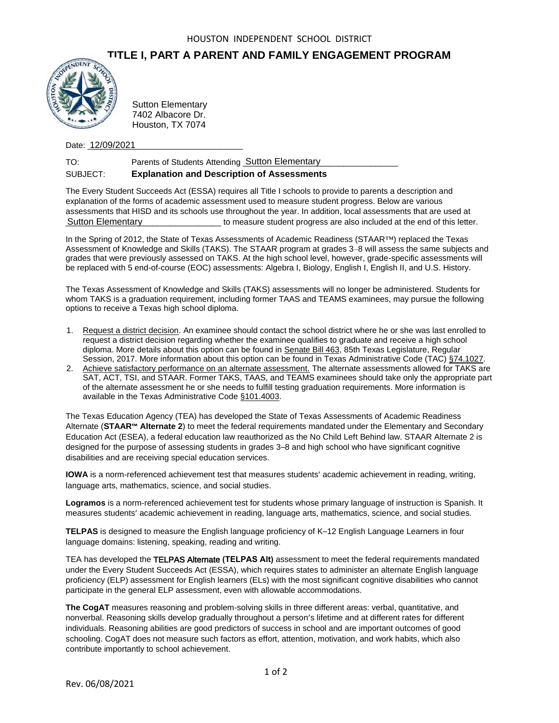## **TITLE I, PART A PARENT AND FAMILY ENGAGEMENT PROGRAM**



7402 Albacore Dr. Houston, TX 7074

Date: <u>12/09/2021</u>

| TO:      | Parents of Students Attending Sutton Elementary   |
|----------|---------------------------------------------------|
| SUBJECT: | <b>Explanation and Description of Assessments</b> |

The Every Student Succeeds Act (ESSA) requires all Title I schools to provide to parents a description and explanation of the forms of academic assessment used to measure student progress. Below are various assessments that HISD and its schools use throughout the year. In addition, local assessments that are used at \_\_\_\_\_\_\_\_\_\_\_\_\_\_\_\_\_\_\_\_\_\_\_\_\_\_\_\_\_\_\_\_\_\_ to measure student progress are also included at the end of this letter. Sutton Elementary

In the Spring of 2012, the State of Texas Assessments of Academic Readiness (STAAR™) replaced the Texas Assessment of Knowledge and Skills (TAKS). The STAAR program at grades 3–8 will assess the same subjects and grades that were previously assessed on TAKS. At the high school level, however, grade-specific assessments will be replaced with 5 end-of-course (EOC) assessments: Algebra I, Biology, English I, English II, and U.S. History.

The Texas Assessment of Knowledge and Skills (TAKS) assessments will no longer be administered. Students for whom TAKS is a graduation requirement, including former TAAS and TEAMS examinees, may pursue the following options to receive a Texas high school diploma.

- 1. Request a district decision. An examinee should contact the school district where he or she was last enrolled to request a district decision regarding whether the examinee qualifies to graduate and receive a high school diploma. More details about this option can be found in Senate Bill 463, 85th Texas Legislature, Regular Session, 2017. More information about this option can be found in Texas Administrative Code (TAC) §74.1027.
- 2. Achieve satisfactory performance on an alternate assessment. The alternate assessments allowed for TAKS are SAT, ACT, TSI, and STAAR. Former TAKS, TAAS, and TEAMS examinees should take only the appropriate part of the alternate assessment he or she needs to fulfill testing graduation requirements. More information is available in the Texas Administrative Code §101.4003.

The Texas Education Agency (TEA) has developed the State of Texas Assessments of Academic Readiness Alternate (**STAAR™ Alternate 2**) to meet the federal requirements mandated under the Elementary and Secondary Education Act (ESEA), a federal education law reauthorized as the No Child Left Behind law. STAAR Alternate 2 is designed for the purpose of assessing students in grades 3–8 and high school who have significant cognitive disabilities and are receiving special education services. Sutton Elementary<br>
19402 Albacore Dr.<br>
Houston, TX 7074<br>
Houston, TX 7074<br>
Date: 12/09/2021<br>
Parents of Students<br>
SUBJECT:<br> **Explanation and I**<br>
The Every Student Succeeds Act (ESS<br>
explanation of the forms of academic as<br>

**IOWA** is a norm-referenced achievement test that measures students' academic achievement in reading, writing, language arts, mathematics, science, and social studies.

**Logramos** is a norm-referenced achievement test for students whose primary language of instruction is Spanish. It measures students' academic achievement in reading, language arts, mathematics, science, and social studies.

**TELPAS** is designed to measure the English language proficiency of K–12 English Language Learners in four language domains: listening, speaking, reading and writing.

TEA has developed the TELPAS Alternate **(TELPAS Alt)** assessment to meet the federal requirements mandated under the Every Student Succeeds Act (ESSA), which requires states to administer an alternate English language proficiency (ELP) assessment for English learners (ELs) with the most significant cognitive disabilities who cannot participate in the general ELP assessment, even with allowable accommodations.

**The CogAT** measures reasoning and problem-solving skills in three different areas: verbal, quantitative, and nonverbal. Reasoning skills develop gradually throughout a person's lifetime and at different rates for different individuals. Reasoning abilities are good predictors of success in school and are important outcomes of good schooling. CogAT does not measure such factors as effort, attention, motivation, and work habits, which also contribute importantly to school achievement.